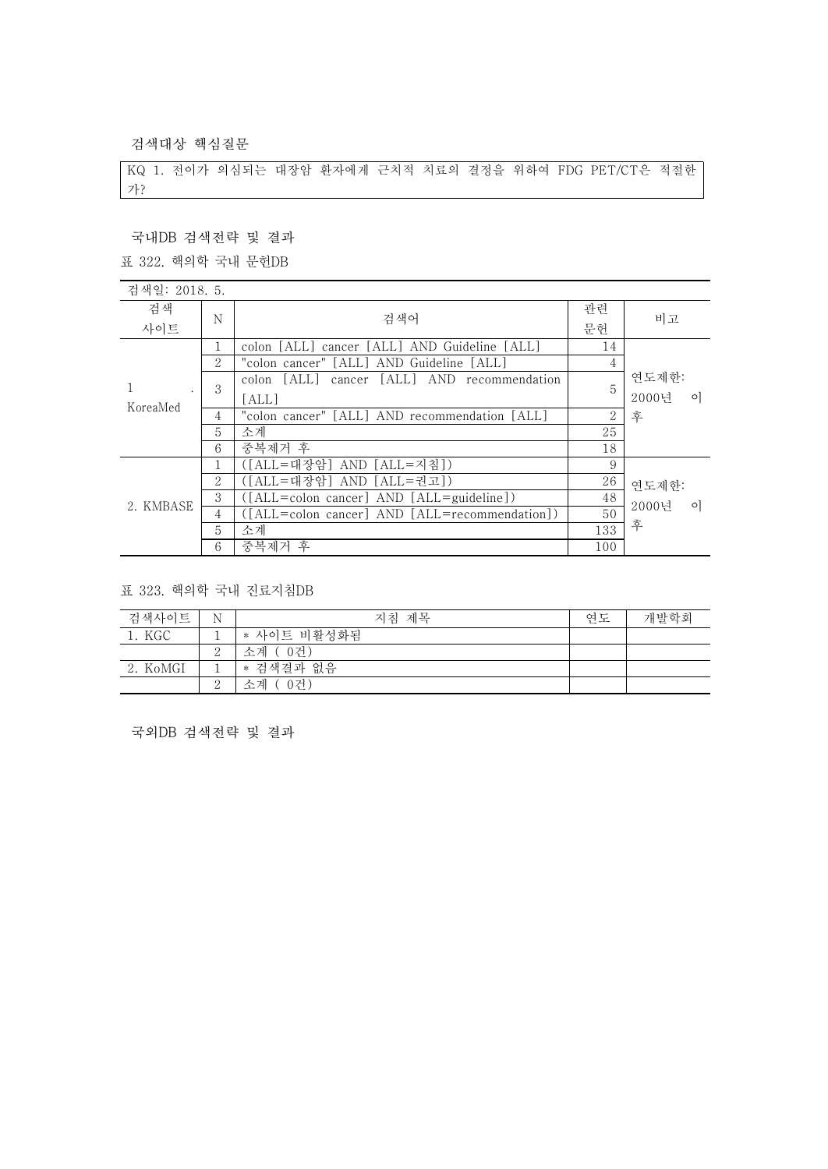검색대상 핵심질문

KQ 1. 전이가 의심되는 대장암 환자에게 근치적 치료의 결정을 위하여 FDG PET/CT은 적절한 가?

## 국내DB 검색전략 및 결과

표 322. 핵의학 국내 문헌DB

| 검색일: 2018. 5. |   |                                                |                |                  |
|---------------|---|------------------------------------------------|----------------|------------------|
| 검색            | N | 검색어                                            | 관련             | 비고               |
| 사이트           |   |                                                | 문헌             |                  |
| KoreaMed      |   | colon [ALL] cancer [ALL] AND Guideline [ALL]   | 14             |                  |
|               | 2 | "colon cancer" [ALL] AND Guideline [ALL]       | 4              |                  |
|               | 3 | colon [ALL] cancer [ALL] AND recommendation    | 5              | 연도제한:            |
|               |   | [ALL]                                          |                | 2000년<br>$\circ$ |
|               | 4 | "colon cancer" [ALL] AND recommendation [ALL]  | $\overline{2}$ | 후                |
|               | 5 | 소계                                             | 25             |                  |
|               | 6 | 중복제거 후                                         | 18             |                  |
| 2. KMBASE     |   | ([ALL=대장암] AND [ALL=지침])                       | 9              |                  |
|               | 2 | ([ALL=대장암] AND [ALL=권고])                       | 26             | 연도제한:            |
|               | 3 | $([ALL = colon cancer] AND [ALL = guideline])$ | 48             | 2000년<br>$\circ$ |
|               | 4 | ([ALL=colon cancer] AND [ALL=recommendation])  | 50             |                  |
|               | 5 | 소계                                             | 133            | 후                |
|               | 6 | 중복제거 후                                         | 100            |                  |

표 323. 핵의학 국내 진료지침DB

| 검색사이트    | N        | 지침 제목        | 연도 | 개발학회 |
|----------|----------|--------------|----|------|
| 1. KGC   |          | * 사이트 비활성화됨  |    |      |
|          |          | -0건)<br>소계 ( |    |      |
| 2. KoMGI |          | * 검색결과 없음    |    |      |
|          | $\Omega$ | 소계<br>0건)    |    |      |

국외DB 검색전략 및 결과